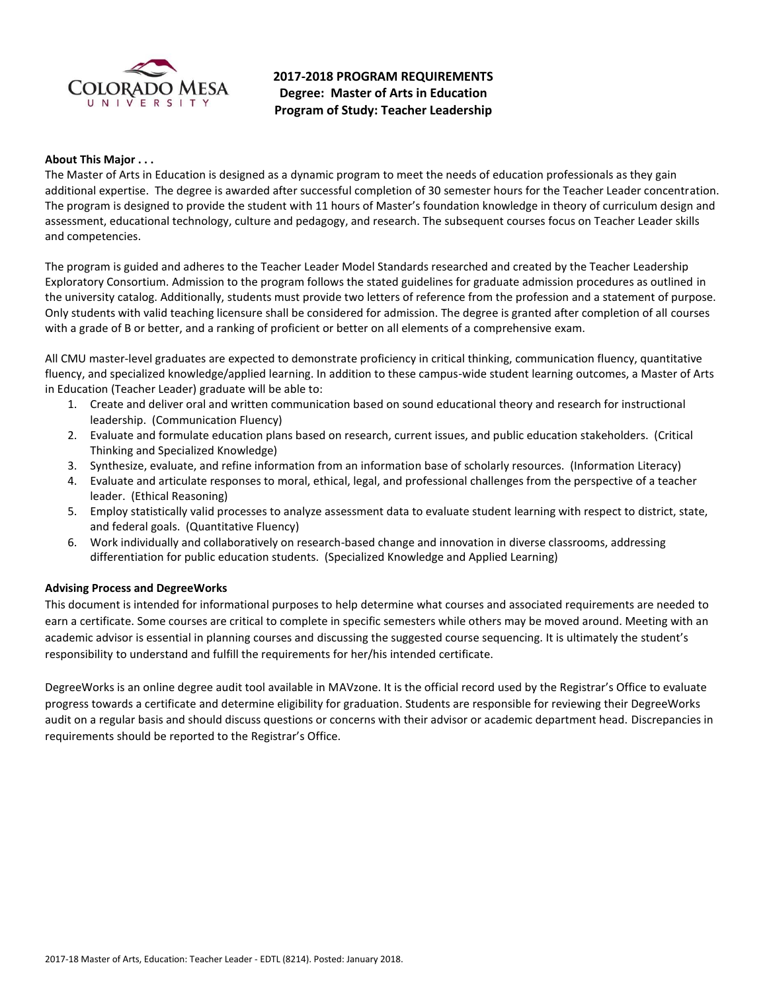

**2017-2018 PROGRAM REQUIREMENTS Degree: Master of Arts in Education Program of Study: Teacher Leadership**

### **About This Major . . .**

The Master of Arts in Education is designed as a dynamic program to meet the needs of education professionals as they gain additional expertise. The degree is awarded after successful completion of 30 semester hours for the Teacher Leader concentration. The program is designed to provide the student with 11 hours of Master's foundation knowledge in theory of curriculum design and assessment, educational technology, culture and pedagogy, and research. The subsequent courses focus on Teacher Leader skills and competencies.

The program is guided and adheres to the Teacher Leader Model Standards researched and created by the Teacher Leadership Exploratory Consortium. Admission to the program follows the stated guidelines for graduate admission procedures as outlined in the university catalog. Additionally, students must provide two letters of reference from the profession and a statement of purpose. Only students with valid teaching licensure shall be considered for admission. The degree is granted after completion of all courses with a grade of B or better, and a ranking of proficient or better on all elements of a comprehensive exam.

All CMU master-level graduates are expected to demonstrate proficiency in critical thinking, communication fluency, quantitative fluency, and specialized knowledge/applied learning. In addition to these campus-wide student learning outcomes, a Master of Arts in Education (Teacher Leader) graduate will be able to:

- 1. Create and deliver oral and written communication based on sound educational theory and research for instructional leadership. (Communication Fluency)
- 2. Evaluate and formulate education plans based on research, current issues, and public education stakeholders. (Critical Thinking and Specialized Knowledge)
- 3. Synthesize, evaluate, and refine information from an information base of scholarly resources. (Information Literacy)
- 4. Evaluate and articulate responses to moral, ethical, legal, and professional challenges from the perspective of a teacher leader. (Ethical Reasoning)
- 5. Employ statistically valid processes to analyze assessment data to evaluate student learning with respect to district, state, and federal goals. (Quantitative Fluency)
- 6. Work individually and collaboratively on research-based change and innovation in diverse classrooms, addressing differentiation for public education students. (Specialized Knowledge and Applied Learning)

### **Advising Process and DegreeWorks**

This document is intended for informational purposes to help determine what courses and associated requirements are needed to earn a certificate. Some courses are critical to complete in specific semesters while others may be moved around. Meeting with an academic advisor is essential in planning courses and discussing the suggested course sequencing. It is ultimately the student's responsibility to understand and fulfill the requirements for her/his intended certificate.

DegreeWorks is an online degree audit tool available in MAVzone. It is the official record used by the Registrar's Office to evaluate progress towards a certificate and determine eligibility for graduation. Students are responsible for reviewing their DegreeWorks audit on a regular basis and should discuss questions or concerns with their advisor or academic department head. Discrepancies in requirements should be reported to the Registrar's Office.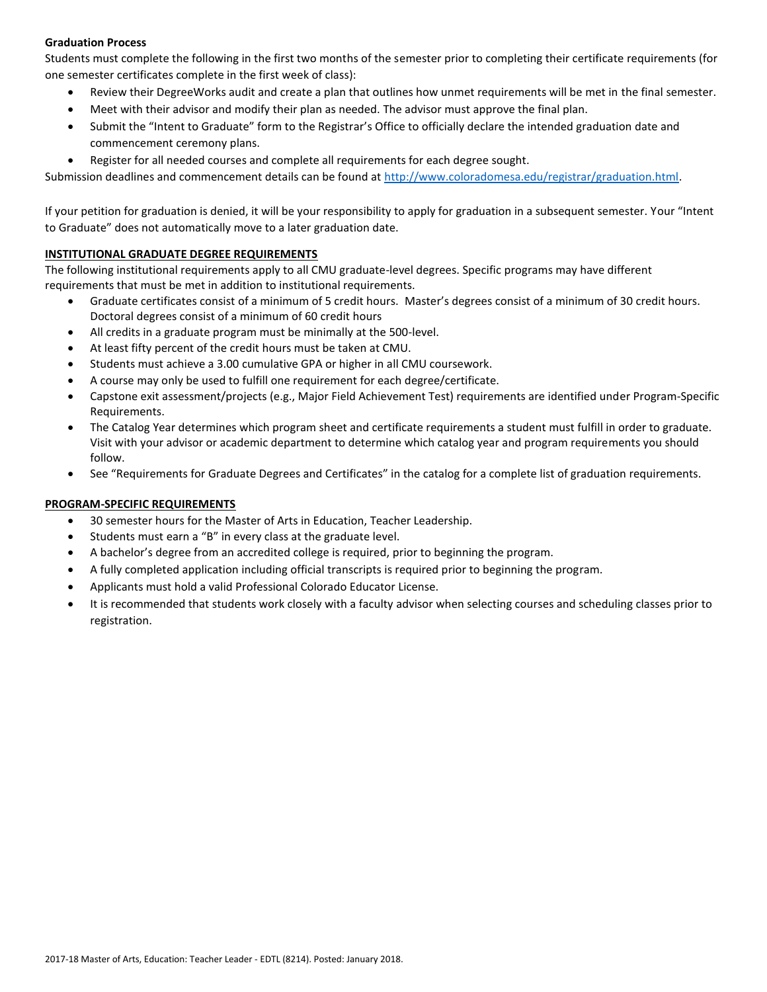# **Graduation Process**

Students must complete the following in the first two months of the semester prior to completing their certificate requirements (for one semester certificates complete in the first week of class):

- Review their DegreeWorks audit and create a plan that outlines how unmet requirements will be met in the final semester.
- Meet with their advisor and modify their plan as needed. The advisor must approve the final plan.
- Submit the "Intent to Graduate" form to the Registrar's Office to officially declare the intended graduation date and commencement ceremony plans.
- Register for all needed courses and complete all requirements for each degree sought.

Submission deadlines and commencement details can be found at [http://www.coloradomesa.edu/registrar/graduation.html.](http://www.coloradomesa.edu/registrar/graduation.html)

If your petition for graduation is denied, it will be your responsibility to apply for graduation in a subsequent semester. Your "Intent to Graduate" does not automatically move to a later graduation date.

# **INSTITUTIONAL GRADUATE DEGREE REQUIREMENTS**

The following institutional requirements apply to all CMU graduate-level degrees. Specific programs may have different requirements that must be met in addition to institutional requirements.

- Graduate certificates consist of a minimum of 5 credit hours. Master's degrees consist of a minimum of 30 credit hours. Doctoral degrees consist of a minimum of 60 credit hours
- All credits in a graduate program must be minimally at the 500-level.
- At least fifty percent of the credit hours must be taken at CMU.
- Students must achieve a 3.00 cumulative GPA or higher in all CMU coursework.
- A course may only be used to fulfill one requirement for each degree/certificate.
- Capstone exit assessment/projects (e.g., Major Field Achievement Test) requirements are identified under Program-Specific Requirements.
- The Catalog Year determines which program sheet and certificate requirements a student must fulfill in order to graduate. Visit with your advisor or academic department to determine which catalog year and program requirements you should follow.
- See "Requirements for Graduate Degrees and Certificates" in the catalog for a complete list of graduation requirements.

# **PROGRAM-SPECIFIC REQUIREMENTS**

- 30 semester hours for the Master of Arts in Education, Teacher Leadership.
- Students must earn a "B" in every class at the graduate level.
- A bachelor's degree from an accredited college is required, prior to beginning the program.
- A fully completed application including official transcripts is required prior to beginning the program.
- Applicants must hold a valid Professional Colorado Educator License.
- It is recommended that students work closely with a faculty advisor when selecting courses and scheduling classes prior to registration.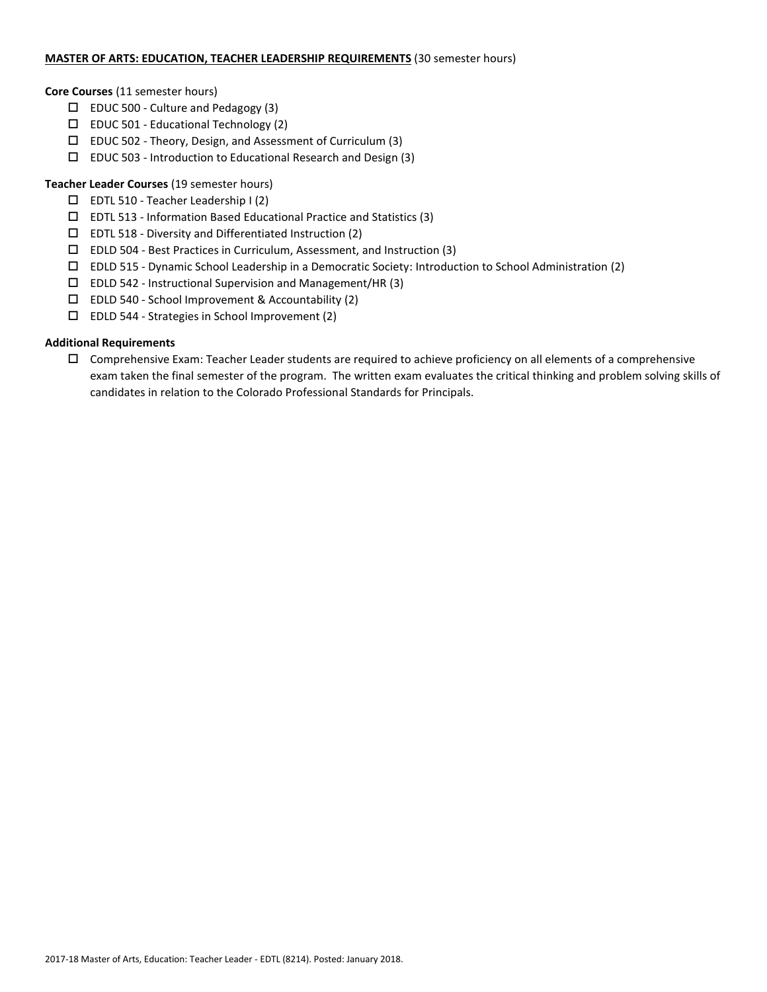## **MASTER OF ARTS: EDUCATION, TEACHER LEADERSHIP REQUIREMENTS** (30 semester hours)

### **Core Courses** (11 semester hours)

- $\Box$  EDUC 500 Culture and Pedagogy (3)
- $\square$  EDUC 501 Educational Technology (2)
- $\Box$  EDUC 502 Theory, Design, and Assessment of Curriculum (3)
- EDUC 503 Introduction to Educational Research and Design (3)

# **Teacher Leader Courses** (19 semester hours)

- $\square$  EDTL 510 Teacher Leadership I (2)
- $\square$  EDTL 513 Information Based Educational Practice and Statistics (3)
- $\square$  EDTL 518 Diversity and Differentiated Instruction (2)
- EDLD 504 Best Practices in Curriculum, Assessment, and Instruction (3)
- EDLD 515 Dynamic School Leadership in a Democratic Society: Introduction to School Administration (2)
- EDLD 542 Instructional Supervision and Management/HR (3)
- EDLD 540 School Improvement & Accountability (2)
- EDLD 544 Strategies in School Improvement (2)

# **Additional Requirements**

 $\Box$  Comprehensive Exam: Teacher Leader students are required to achieve proficiency on all elements of a comprehensive exam taken the final semester of the program. The written exam evaluates the critical thinking and problem solving skills of candidates in relation to the Colorado Professional Standards for Principals.